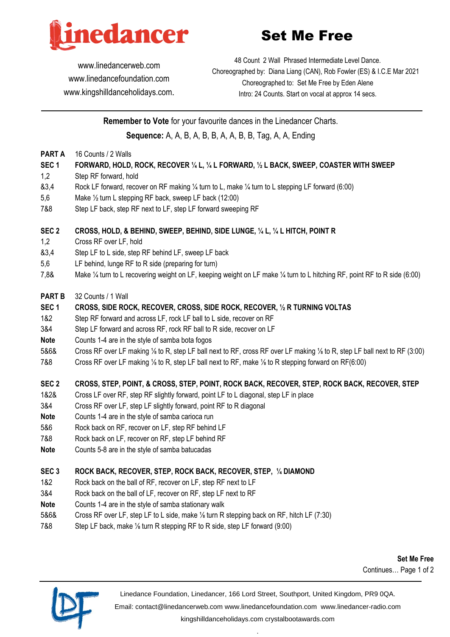

# Set Me Free

48 Count 2 Wall Phrased Intermediate Level Dance.

www.linedancerweb.com www.linedancefoundation.com www.kingshilldanceholidays.com. Choreographed by: Diana Liang (CAN), Rob Fowler (ES) & I.C.E Mar 2021 Choreographed to: Set Me Free by Eden Alene Intro: 24 Counts. Start on vocal at approx 14 secs.

**Remember to Vote** for your favourite dances in the Linedancer Charts. **Sequence:** A, A, B, A, B, B, A, A, B, B, Tag, A, A, Ending

- **PART A** 16 Counts / 2 Walls
- **SEC 1 FORWARD, HOLD, ROCK, RECOVER ¼ L, ¼ L FORWARD, ½ L BACK, SWEEP, COASTER WITH SWEEP**
- 1,2 Step RF forward, hold
- &3,4 Rock LF forward, recover on RF making ¼ turn to L, make ¼ turn to L stepping LF forward (6:00)
- 5,6 Make ½ turn L stepping RF back, sweep LF back (12:00)
- 7&8 Step LF back, step RF next to LF, step LF forward sweeping RF

## **SEC 2 CROSS, HOLD, & BEHIND, SWEEP, BEHIND, SIDE LUNGE, ¼ L, ¼ L HITCH, POINT R**

- 1,2 Cross RF over LF, hold
- &3,4 Step LF to L side, step RF behind LF, sweep LF back
- 5,6 LF behind, lunge RF to R side (preparing for turn)
- 7,8& Make ¼ turn to L recovering weight on LF, keeping weight on LF make ¼ turn to L hitching RF, point RF to R side (6:00)

#### **PART B** 32 Counts / 1 Wall

#### **SEC 1 CROSS, SIDE ROCK, RECOVER, CROSS, SIDE ROCK, RECOVER, ½ R TURNING VOLTAS**

- 1&2 Step RF forward and across LF, rock LF ball to L side, recover on RF
- 3&4 Step LF forward and across RF, rock RF ball to R side, recover on LF
- **Note** Counts 1-4 are in the style of samba bota fogos
- 5&6& Cross RF over LF making ⅛ to R, step LF ball next to RF, cross RF over LF making ⅛ to R, step LF ball next to RF (3:00)
- 7&8 Cross RF over LF making ⅛ to R, step LF ball next to RF, make ⅛ to R stepping forward on RF(6:00)

## **SEC 2 CROSS, STEP, POINT, & CROSS, STEP, POINT, ROCK BACK, RECOVER, STEP, ROCK BACK, RECOVER, STEP**

- 1&2& Cross LF over RF, step RF slightly forward, point LF to L diagonal, step LF in place
- 3&4 Cross RF over LF, step LF slightly forward, point RF to R diagonal
- **Note** Counts 1-4 are in the style of samba carioca run
- 5&6 Rock back on RF, recover on LF, step RF behind LF
- 7&8 Rock back on LF, recover on RF, step LF behind RF
- **Note** Counts 5-8 are in the style of samba batucadas

## **SEC 3 ROCK BACK, RECOVER, STEP, ROCK BACK, RECOVER, STEP, ¼ DIAMOND**

- 1&2 Rock back on the ball of RF, recover on LF, step RF next to LF
- 3&4 Rock back on the ball of LF, recover on RF, step LF next to RF
- **Note** Counts 1-4 are in the style of samba stationary walk
- 5&6& Cross RF over LF, step LF to L side, make ⅛ turn R stepping back on RF, hitch LF (7:30)
- 7&8 Step LF back, make ⅛ turn R stepping RF to R side, step LF forward (9:00)

**Set Me Free** Continues… Page 1 of 2



Linedance Foundation, Linedancer, 166 Lord Street, Southport, United Kingdom, PR9 0QA.

Email: contact@linedancerweb.com www.linedancefoundation.com www.linedancer-radio.com

kingshilldanceholidays.com crystalbootawards.com .